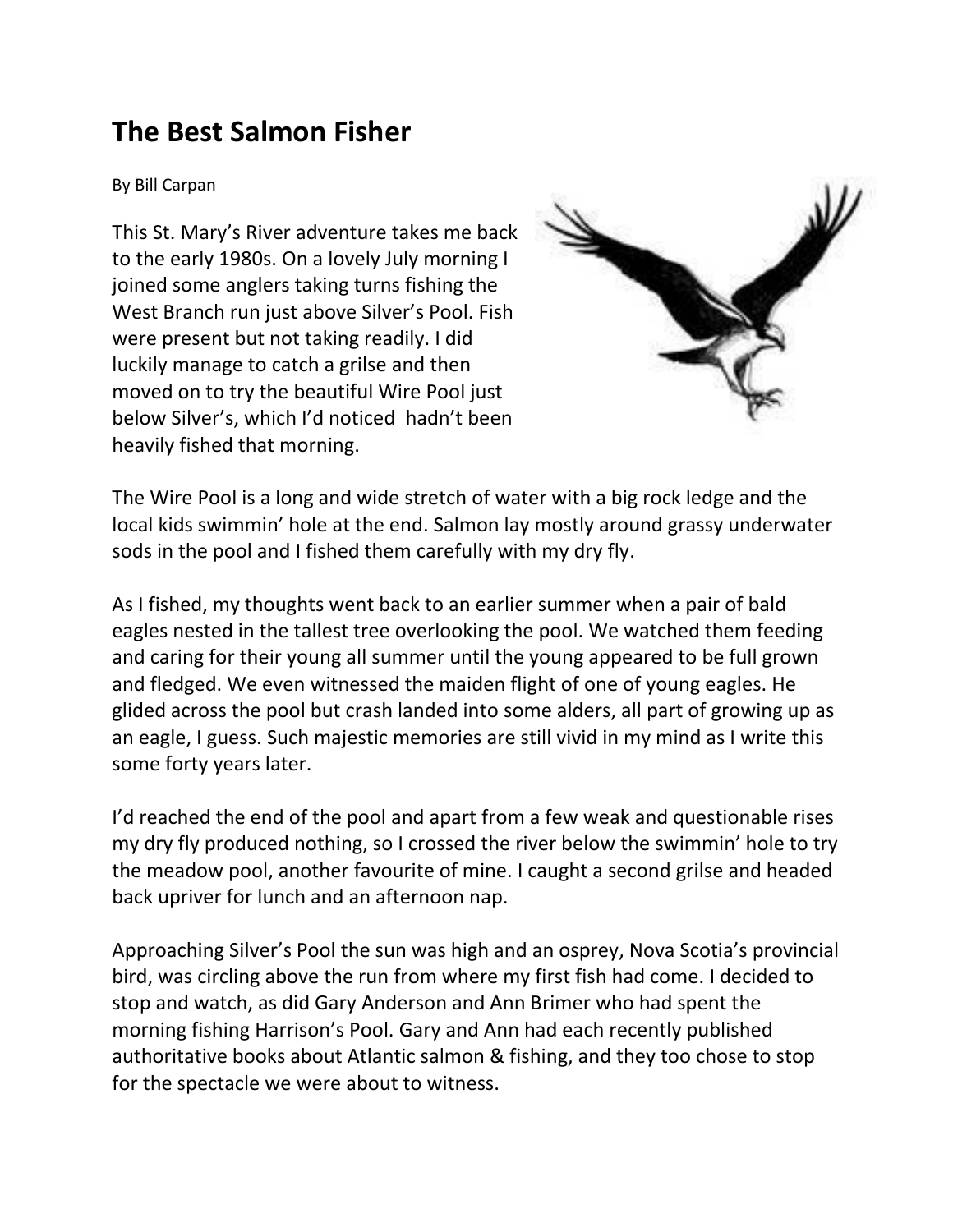## **The Best Salmon Fisher**

By Bill Carpan

This St. Mary's River adventure takes me back to the early 1980s. On a lovely July morning I joined some anglers taking turns fishing the West Branch run just above Silver's Pool. Fish were present but not taking readily. I did luckily manage to catch a grilse and then moved on to try the beautiful Wire Pool just below Silver's, which I'd noticed hadn't been heavily fished that morning.



The Wire Pool is a long and wide stretch of water with a big rock ledge and the local kids swimmin' hole at the end. Salmon lay mostly around grassy underwater sods in the pool and I fished them carefully with my dry fly.

As I fished, my thoughts went back to an earlier summer when a pair of bald eagles nested in the tallest tree overlooking the pool. We watched them feeding and caring for their young all summer until the young appeared to be full grown and fledged. We even witnessed the maiden flight of one of young eagles. He glided across the pool but crash landed into some alders, all part of growing up as an eagle, I guess. Such majestic memories are still vivid in my mind as I write this some forty years later.

I'd reached the end of the pool and apart from a few weak and questionable rises my dry fly produced nothing, so I crossed the river below the swimmin' hole to try the meadow pool, another favourite of mine. I caught a second grilse and headed back upriver for lunch and an afternoon nap.

Approaching Silver's Pool the sun was high and an osprey, Nova Scotia's provincial bird, was circling above the run from where my first fish had come. I decided to stop and watch, as did Gary Anderson and Ann Brimer who had spent the morning fishing Harrison's Pool. Gary and Ann had each recently published authoritative books about Atlantic salmon & fishing, and they too chose to stop for the spectacle we were about to witness.